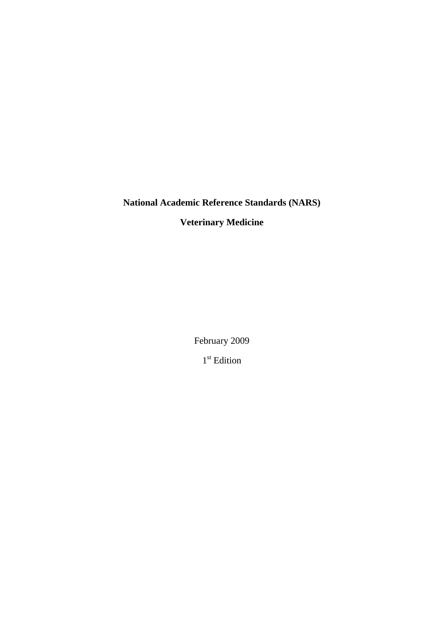## **National Academic Reference Standards (NARS)**

# **Veterinary Medicine**

February 2009 1<sup>st</sup> Edition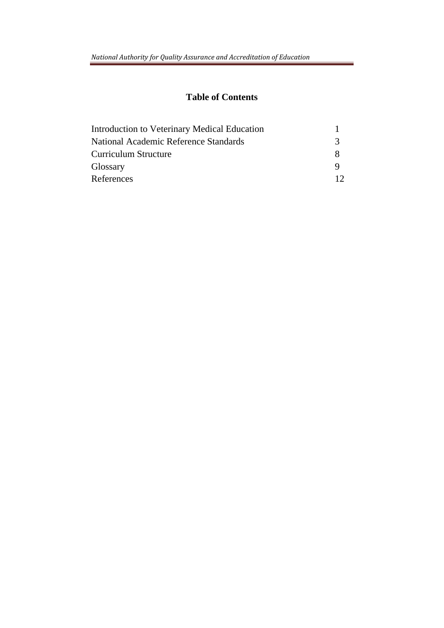## **Table of Contents**

| Introduction to Veterinary Medical Education |   |
|----------------------------------------------|---|
| National Academic Reference Standards        | 3 |
| Curriculum Structure                         | X |
| Glossary                                     |   |
| References                                   |   |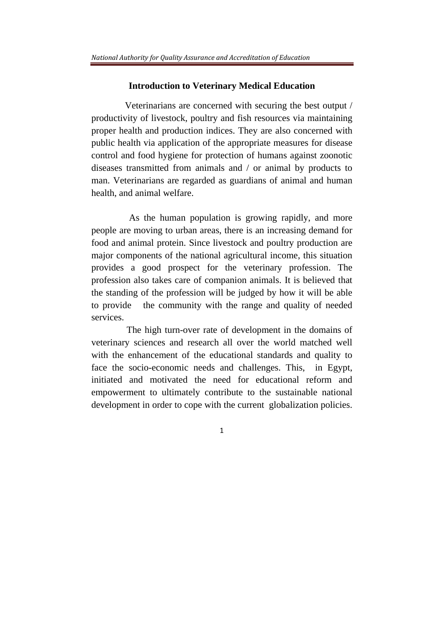#### **Introduction to Veterinary Medical Education**

 Veterinarians are concerned with securing the best output / productivity of livestock, poultry and fish resources via maintaining proper health and production indices. They are also concerned with public health via application of the appropriate measures for disease control and food hygiene for protection of humans against zoonotic diseases transmitted from animals and / or animal by products to man. Veterinarians are regarded as guardians of animal and human health, and animal welfare.

 As the human population is growing rapidly, and more people are moving to urban areas, there is an increasing demand for food and animal protein. Since livestock and poultry production are major components of the national agricultural income, this situation provides a good prospect for the veterinary profession. The profession also takes care of companion animals. It is believed that the standing of the profession will be judged by how it will be able to provide the community with the range and quality of needed services.

 The high turn-over rate of development in the domains of veterinary sciences and research all over the world matched well with the enhancement of the educational standards and quality to face the socio-economic needs and challenges. This, in Egypt, initiated and motivated the need for educational reform and empowerment to ultimately contribute to the sustainable national development in order to cope with the current globalization policies.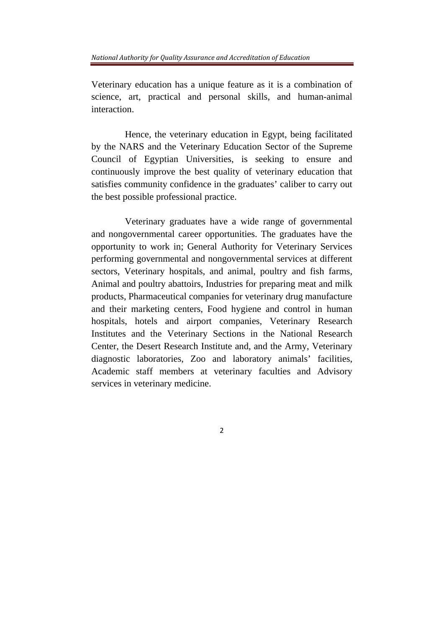Veterinary education has a unique feature as it is a combination of science, art, practical and personal skills, and human-animal interaction.

 Hence, the veterinary education in Egypt, being facilitated by the NARS and the Veterinary Education Sector of the Supreme Council of Egyptian Universities, is seeking to ensure and continuously improve the best quality of veterinary education that satisfies community confidence in the graduates' caliber to carry out the best possible professional practice.

 Veterinary graduates have a wide range of governmental and nongovernmental career opportunities. The graduates have the opportunity to work in; General Authority for Veterinary Services performing governmental and nongovernmental services at different sectors, Veterinary hospitals, and animal, poultry and fish farms, Animal and poultry abattoirs, Industries for preparing meat and milk products, Pharmaceutical companies for veterinary drug manufacture and their marketing centers, Food hygiene and control in human hospitals, hotels and airport companies, Veterinary Research Institutes and the Veterinary Sections in the National Research Center, the Desert Research Institute and, and the Army, Veterinary diagnostic laboratories, Zoo and laboratory animals' facilities, Academic staff members at veterinary faculties and Advisory services in veterinary medicine.

 $\overline{2}$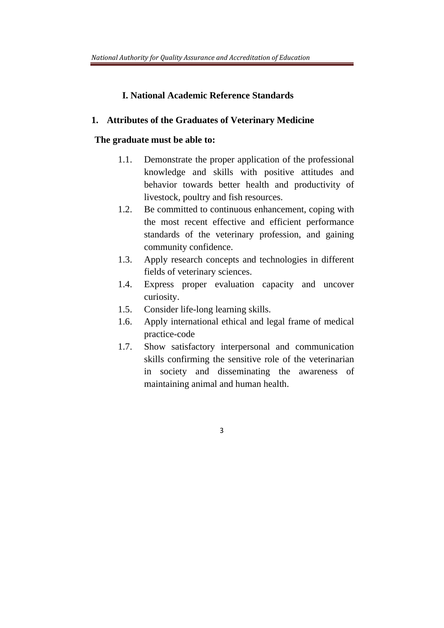## **I. National Academic Reference Standards**

## **1. Attributes of the Graduates of Veterinary Medicine**

## **The graduate must be able to:**

- 1.1. Demonstrate the proper application of the professional knowledge and skills with positive attitudes and behavior towards better health and productivity of livestock, poultry and fish resources.
- 1.2. Be committed to continuous enhancement, coping with the most recent effective and efficient performance standards of the veterinary profession, and gaining community confidence.
- 1.3. Apply research concepts and technologies in different fields of veterinary sciences.
- 1.4. Express proper evaluation capacity and uncover curiosity.
- 1.5. Consider life-long learning skills.
- 1.6. Apply international ethical and legal frame of medical practice-code
- 1.7. Show satisfactory interpersonal and communication skills confirming the sensitive role of the veterinarian in society and disseminating the awareness of maintaining animal and human health.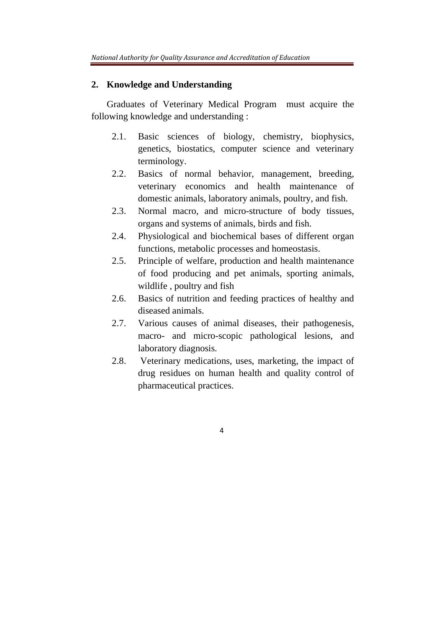#### **2. Knowledge and Understanding**

Graduates of Veterinary Medical Program must acquire the following knowledge and understanding :

- 2.1. Basic sciences of biology, chemistry, biophysics, genetics, biostatics, computer science and veterinary terminology.
- 2.2. Basics of normal behavior, management, breeding, veterinary economics and health maintenance of domestic animals, laboratory animals, poultry, and fish.
- 2.3. Normal macro, and micro-structure of body tissues, organs and systems of animals, birds and fish.
- 2.4. Physiological and biochemical bases of different organ functions, metabolic processes and homeostasis.
- 2.5. Principle of welfare, production and health maintenance of food producing and pet animals, sporting animals, wildlife , poultry and fish
- 2.6. Basics of nutrition and feeding practices of healthy and diseased animals.
- 2.7. Various causes of animal diseases, their pathogenesis, macro- and micro-scopic pathological lesions, and laboratory diagnosis.
- 2.8. Veterinary medications, uses, marketing, the impact of drug residues on human health and quality control of pharmaceutical practices.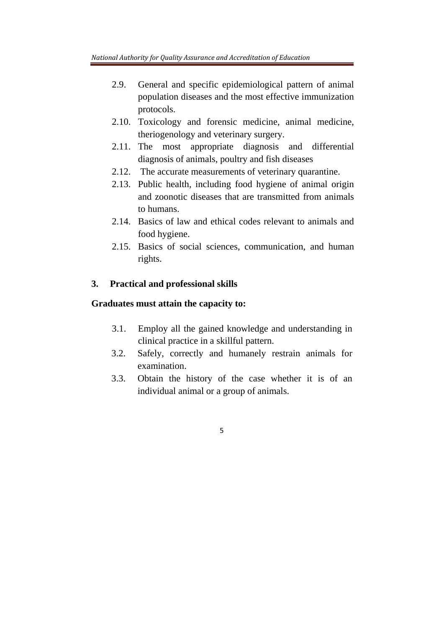- 2.9. General and specific epidemiological pattern of animal population diseases and the most effective immunization protocols.
- 2.10. Toxicology and forensic medicine, animal medicine, theriogenology and veterinary surgery.
- 2.11. The most appropriate diagnosis and differential diagnosis of animals, poultry and fish diseases
- 2.12. The accurate measurements of veterinary quarantine.
- 2.13. Public health, including food hygiene of animal origin and zoonotic diseases that are transmitted from animals to humans.
- 2.14. Basics of law and ethical codes relevant to animals and food hygiene.
- 2.15. Basics of social sciences, communication, and human rights.

## **3. Practical and professional skills**

#### **Graduates must attain the capacity to:**

- 3.1. Employ all the gained knowledge and understanding in clinical practice in a skillful pattern.
- 3.2. Safely, correctly and humanely restrain animals for examination.
- 3.3. Obtain the history of the case whether it is of an individual animal or a group of animals.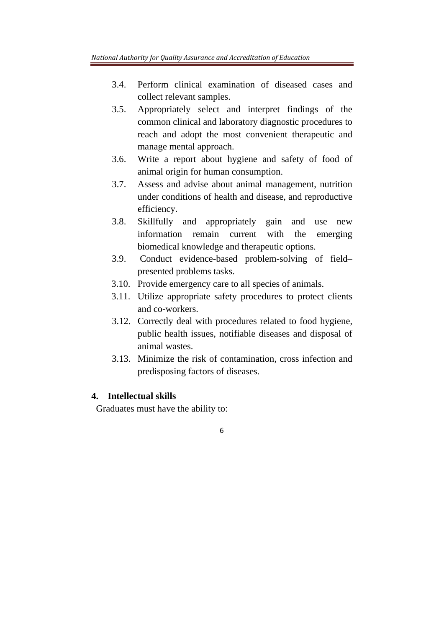- 3.4. Perform clinical examination of diseased cases and collect relevant samples.
- 3.5. Appropriately select and interpret findings of the common clinical and laboratory diagnostic procedures to reach and adopt the most convenient therapeutic and manage mental approach.
- 3.6. Write a report about hygiene and safety of food of animal origin for human consumption.
- 3.7. Assess and advise about animal management, nutrition under conditions of health and disease, and reproductive efficiency.
- 3.8. Skillfully and appropriately gain and use new information remain current with the emerging biomedical knowledge and therapeutic options.
- 3.9. Conduct evidence-based problem-solving of field– presented problems tasks.
- 3.10. Provide emergency care to all species of animals.
- 3.11. Utilize appropriate safety procedures to protect clients and co-workers.
- 3.12. Correctly deal with procedures related to food hygiene, public health issues, notifiable diseases and disposal of animal wastes.
- 3.13. Minimize the risk of contamination, cross infection and predisposing factors of diseases.

6

## **4. Intellectual skills**

Graduates must have the ability to: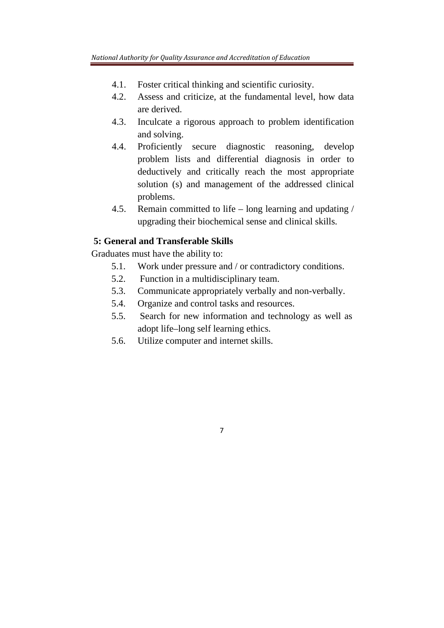- 4.1. Foster critical thinking and scientific curiosity.
- 4.2. Assess and criticize, at the fundamental level, how data are derived.
- 4.3. Inculcate a rigorous approach to problem identification and solving.
- 4.4. Proficiently secure diagnostic reasoning, develop problem lists and differential diagnosis in order to deductively and critically reach the most appropriate solution (s) and management of the addressed clinical problems.
- 4.5. Remain committed to life long learning and updating / upgrading their biochemical sense and clinical skills.

## **5: General and Transferable Skills**

Graduates must have the ability to:

- 5.1. Work under pressure and / or contradictory conditions.
- 5.2. Function in a multidisciplinary team.
- 5.3. Communicate appropriately verbally and non-verbally.
- 5.4. Organize and control tasks and resources.
- 5.5. Search for new information and technology as well as adopt life–long self learning ethics.

7

5.6. Utilize computer and internet skills.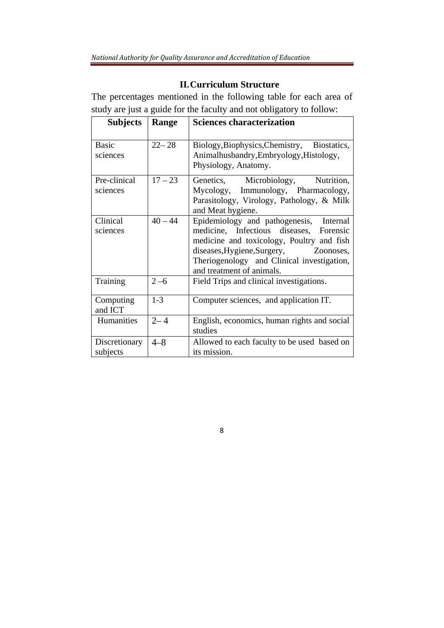## **II.Curriculum Structure**

The percentages mentioned in the following table for each area of study are just a guide for the faculty and not obligatory to follow:

| <b>Subjects</b>           | Range     | <b>Sciences characterization</b>                                                                                                                                                                                                                       |
|---------------------------|-----------|--------------------------------------------------------------------------------------------------------------------------------------------------------------------------------------------------------------------------------------------------------|
| <b>Basic</b><br>sciences  | $22 - 28$ | Biology, Biophysics, Chemistry, Biostatics,<br>Animalhusbandry, Embryology, Histology,<br>Physiology, Anatomy.                                                                                                                                         |
| Pre-clinical<br>sciences  | $17 - 23$ | Genetics, Microbiology, Nutrition,<br>Mycology, Immunology, Pharmacology,<br>Parasitology, Virology, Pathology, & Milk<br>and Meat hygiene.                                                                                                            |
| Clinical<br>sciences      | $40 - 44$ | Epidemiology and pathogenesis,<br>Internal<br>medicine, Infectious diseases, Forensic<br>medicine and toxicology, Poultry and fish<br>diseases, Hygiene, Surgery, Zoonoses,<br>Theriogenology and Clinical investigation,<br>and treatment of animals. |
| Training                  | $2 - 6$   | Field Trips and clinical investigations.                                                                                                                                                                                                               |
| Computing<br>and ICT      | $1 - 3$   | Computer sciences, and application IT.                                                                                                                                                                                                                 |
| Humanities                | $2 - 4$   | English, economics, human rights and social<br>studies                                                                                                                                                                                                 |
| Discretionary<br>subjects | $4 - 8$   | Allowed to each faculty to be used based on<br>its mission.                                                                                                                                                                                            |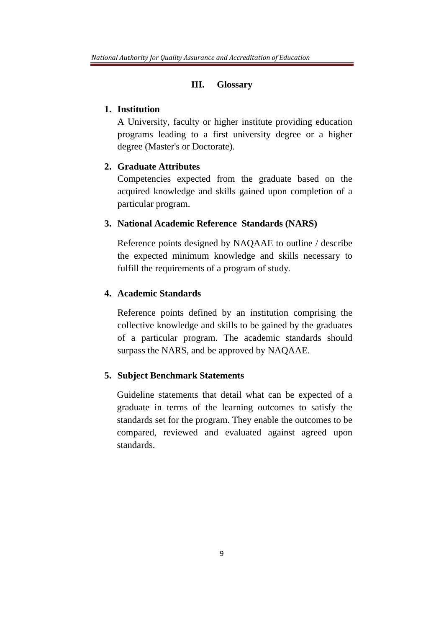#### **III. Glossary**

#### **1. Institution**

A University, faculty or higher institute providing education programs leading to a first university degree or a higher degree (Master's or Doctorate).

#### **2. Graduate Attributes**

Competencies expected from the graduate based on the acquired knowledge and skills gained upon completion of a particular program.

#### **3. National Academic Reference Standards (NARS)**

Reference points designed by NAQAAE to outline / describe the expected minimum knowledge and skills necessary to fulfill the requirements of a program of study*.*

## **4. Academic Standards**

Reference points defined by an institution comprising the collective knowledge and skills to be gained by the graduates of a particular program. The academic standards should surpass the NARS, and be approved by NAQAAE.

#### **5. Subject Benchmark Statements**

Guideline statements that detail what can be expected of a graduate in terms of the learning outcomes to satisfy the standards set for the program. They enable the outcomes to be compared, reviewed and evaluated against agreed upon standards.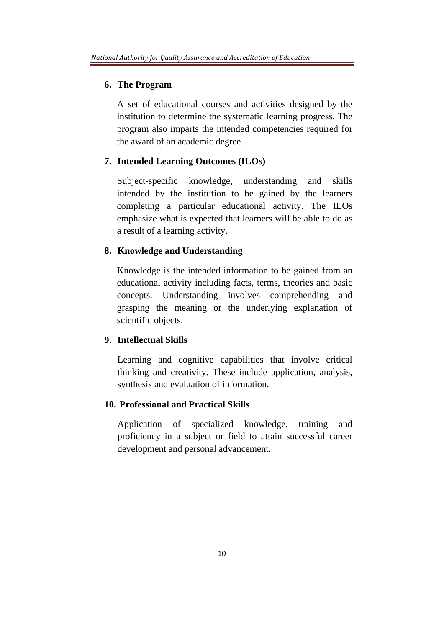#### **6. The Program**

A set of educational courses and activities designed by the institution to determine the systematic learning progress. The program also imparts the intended competencies required for the award of an academic degree.

#### **7. Intended Learning Outcomes (ILOs)**

Subject-specific knowledge, understanding and skills intended by the institution to be gained by the learners completing a particular educational activity. The ILOs emphasize what is expected that learners will be able to do as a result of a learning activity.

#### **8. Knowledge and Understanding**

Knowledge is the intended information to be gained from an educational activity including facts, terms, theories and basic concepts. Understanding involves comprehending and grasping the meaning or the underlying explanation of scientific objects.

## **9. Intellectual Skills**

Learning and cognitive capabilities that involve critical thinking and creativity. These include application, analysis, synthesis and evaluation of information.

#### **10. Professional and Practical Skills**

Application of specialized knowledge, training and proficiency in a subject or field to attain successful career development and personal advancement.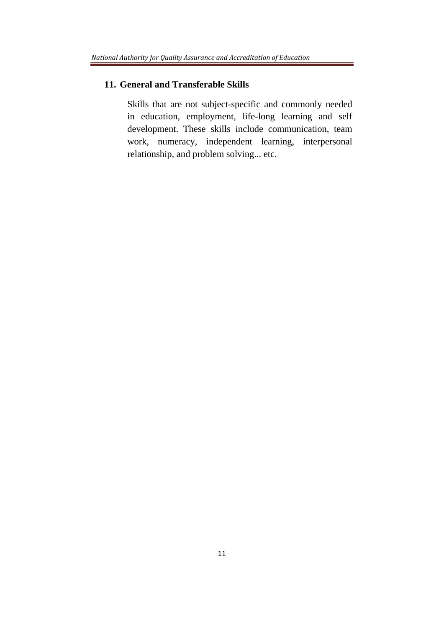#### **11. General and Transferable Skills**

Skills that are not subject-specific and commonly needed in education, employment, life-long learning and self development. These skills include communication, team work, numeracy, independent learning, interpersonal relationship, and problem solving... etc.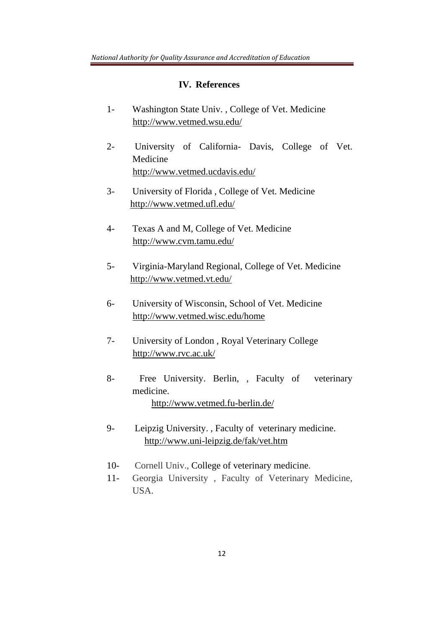#### **IV. References**

- 1- Washington State Univ. , College of Vet. Medicine http://www.vetmed.wsu.edu/
- 2- University of California- Davis, College of Vet. Medicine http://www.vetmed.ucdavis.edu/
- 3- University of Florida , College of Vet. Medicine http://www.vetmed.ufl.edu/
- 4- Texas A and M, College of Vet. Medicine http://www.cvm.tamu.edu/
- 5- Virginia-Maryland Regional, College of Vet. Medicine http://www.vetmed.vt.edu/
- 6- University of Wisconsin, School of Vet. Medicine http://www.vetmed.wisc.edu/home
- 7- University of London , Royal Veterinary College http://www.rvc.ac.uk/
- 8- Free University. Berlin, , Faculty of veterinary medicine. http://www.vetmed.fu-berlin.de/
- 9- Leipzig University. , Faculty of veterinary medicine. http://www.uni-leipzig.de/fak/vet.htm
- 10- Cornell Univ., College of veterinary medicine.
- 11- Georgia University , Faculty of Veterinary Medicine, USA.